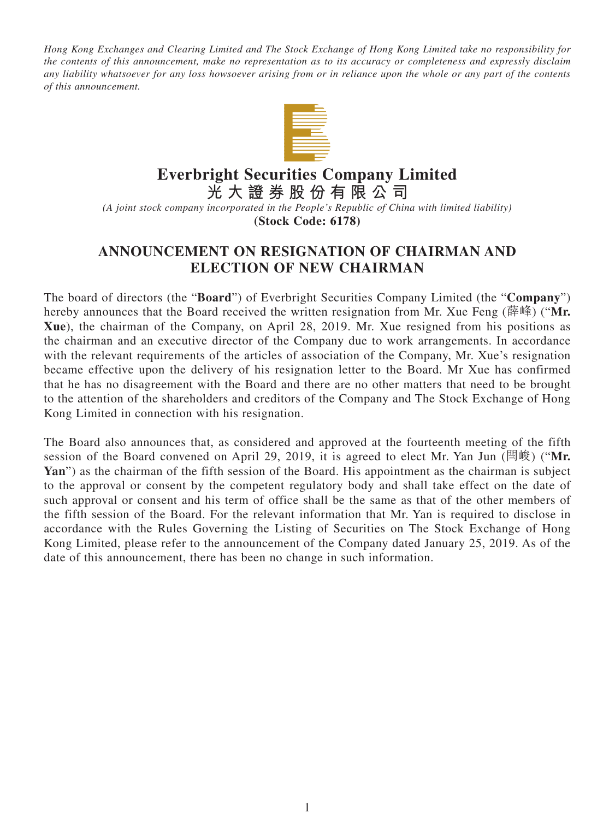*Hong Kong Exchanges and Clearing Limited and The Stock Exchange of Hong Kong Limited take no responsibility for the contents of this announcement, make no representation as to its accuracy or completeness and expressly disclaim any liability whatsoever for any loss howsoever arising from or in reliance upon the whole or any part of the contents of this announcement.*



## **Everbright Securities Company Limited**

**光大證券股份有限公司**

*(A joint stock company incorporated in the People's Republic of China with limited liability)* **(Stock Code: 6178)**

## **ANNOUNCEMENT ON RESIGNATION OF CHAIRMAN AND ELECTION OF NEW CHAIRMAN**

The board of directors (the "**Board**") of Everbright Securities Company Limited (the "**Company**") hereby announces that the Board received the written resignation from Mr. Xue Feng (薛峰) ("**Mr. Xue**), the chairman of the Company, on April 28, 2019. Mr. Xue resigned from his positions as the chairman and an executive director of the Company due to work arrangements. In accordance with the relevant requirements of the articles of association of the Company, Mr. Xue's resignation became effective upon the delivery of his resignation letter to the Board. Mr Xue has confirmed that he has no disagreement with the Board and there are no other matters that need to be brought to the attention of the shareholders and creditors of the Company and The Stock Exchange of Hong Kong Limited in connection with his resignation.

The Board also announces that, as considered and approved at the fourteenth meeting of the fifth session of the Board convened on April 29, 2019, it is agreed to elect Mr. Yan Jun (閆峻) ("**Mr.**  Yan") as the chairman of the fifth session of the Board. His appointment as the chairman is subject to the approval or consent by the competent regulatory body and shall take effect on the date of such approval or consent and his term of office shall be the same as that of the other members of the fifth session of the Board. For the relevant information that Mr. Yan is required to disclose in accordance with the Rules Governing the Listing of Securities on The Stock Exchange of Hong Kong Limited, please refer to the announcement of the Company dated January 25, 2019. As of the date of this announcement, there has been no change in such information.